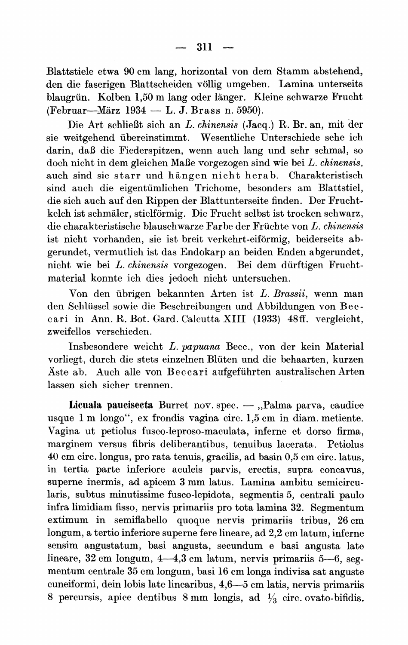**Blattstiele etwa 90 cm lang, horizontal von dem Stamm abstehend, den die faserigen Blattscheiden vollig umgeben. Lamina unterseits**  blaugrün. Kolben 1,50 m lang oder länger. Kleine schwarze Frucht **(Februar-Marz 1934 - L. J. Brass n. 5950).** 

**Die Art schlieBt sich an L. chinensis (Jacq.) R. Br. an, mit der sie weitgehend ubereinstimmt. Wesentliche Unterschiede sehe ich darin, daB die Fiederspitzen, wenn auch lang und sehr schmal, so doch nicht in dem gleichen MaBe vorgezogen sind wie bei L. chinensis, auch sind sie starr und h angen nicht herab. Charakteristisch sind auch die eigentuimlichen Trichome, besonders am Blattstiel, die sich auch auf den Rippen der Blattunterseite finden. Der Frucht**kelch ist schmäler, stielförmig. Die Frucht selbst ist trocken schwarz, **die charakteristische blauschwarze Farbe der Friichte von L. chinensis**  ist nicht vorhanden, sie ist breit verkehrt-eiförmig, beiderseits ab**gerundet, vermutlich ist das Endokarp an beiden Enden abgerundet, nicht wie bei L. chinensis vorgezogen. Bei dem diirftigen Fruchtmaterial konnte ich dies jedoch nicht untersuchen.** 

**Von den iibrigen bekannten Arten ist L. Brassii, wenn man den Schliissel sowie die Beschreibungen und Abbildungen von Bec cari in Ann. R. Bot. Gard. Calcutta XIII (1933) 48ff. vergleicht, zweifellos versehieden.** 

**Insbesondere weicht L. papuana Becc., von der kein Material vorliegt, durch die stets einzelnen Bluten und die behaarten, kurzen Aste ab. Auch alle von Be cc ari aufgeftihrten australischen Arten lassen sich sicher trennen.** 

**Licuala paucisecta Burret nov. spec. - ,,Palma parva, caudice usque 1 m longo", ex frondis vagina circ. 1,5 cm in diam. metiente. Vagina ut petiolus fusco-leproso-maculata, inferne et dorso firma, marginem versus fibris deliberantibus, tenuibus lacerata. Petiolus 40 cm circ. longus, pro rata tenuis, gracilis, ad basin 0,5 cm circ. latus, in tertia parte inferiore aculeis parvis, erectis, supra concavus, superne inermis, ad apicem 3 mm latus. Lamina ambitu semicircularis, subtus minutissime fusco-lepidota, segmentis 5, centrali paulo infra limidiam fisso, nervis primariis pro tota lamina 32. Segmentum extimum in semiflabello quoque nervis primariis tribus, 26 cm longum, a tertio inferiore superne fere lineare, ad 2,2 cm latum, inferne sensim angustatum, basi angusta, secundum e basi angusta late**  lineare, 32 cm longum, 4—4,3 cm latum, nervis primariis 5—6, seg**mentum centrale 35 cm longum, basi 16 cm longa indivisa sat anguste cuneiformi, dein lobis late linearibus, 4,6-5 cm latis, nervis primariis 8 percursis, apice dentibus 8 mm longis, ad 1/3 circ. ovato-bifidis.**